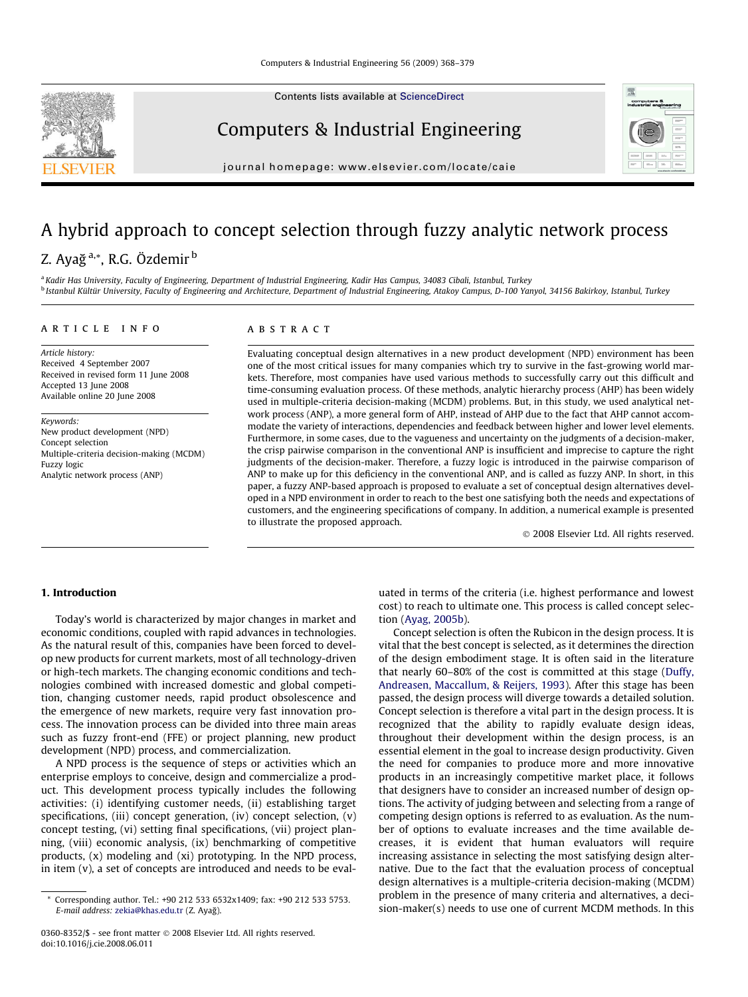Contents lists available at [ScienceDirect](http://www.sciencedirect.com/science/journal/03608352)

## Computers & Industrial Engineering

journal homepage: [www.elsevier.com/locate/caie](http://www.elsevier.com/locate/caie)

# A hybrid approach to concept selection through fuzzy analytic network process

### Z. Ayağ<sup>a,\*</sup>, R.G. Özdemir<sup>b</sup>

<sup>a</sup> Kadir Has University, Faculty of Engineering, Department of Industrial Engineering, Kadir Has Campus, 34083 Cibali, Istanbul, Turkey <sup>b</sup> Istanbul Kültür University, Faculty of Engineering and Architecture, Department of Industrial Engineering, Atakoy Campus, D-100 Yanyol, 34156 Bakirkoy, Istanbul, Turkey

#### article info

#### **ABSTRACT**

Article history: Received 4 September 2007 Received in revised form 11 June 2008 Accepted 13 June 2008 Available online 20 June 2008

Keywords: New product development (NPD) Concept selection Multiple-criteria decision-making (MCDM) Fuzzy logic Analytic network process (ANP)

Evaluating conceptual design alternatives in a new product development (NPD) environment has been one of the most critical issues for many companies which try to survive in the fast-growing world markets. Therefore, most companies have used various methods to successfully carry out this difficult and time-consuming evaluation process. Of these methods, analytic hierarchy process (AHP) has been widely used in multiple-criteria decision-making (MCDM) problems. But, in this study, we used analytical network process (ANP), a more general form of AHP, instead of AHP due to the fact that AHP cannot accommodate the variety of interactions, dependencies and feedback between higher and lower level elements. Furthermore, in some cases, due to the vagueness and uncertainty on the judgments of a decision-maker, the crisp pairwise comparison in the conventional ANP is insufficient and imprecise to capture the right judgments of the decision-maker. Therefore, a fuzzy logic is introduced in the pairwise comparison of ANP to make up for this deficiency in the conventional ANP, and is called as fuzzy ANP. In short, in this paper, a fuzzy ANP-based approach is proposed to evaluate a set of conceptual design alternatives developed in a NPD environment in order to reach to the best one satisfying both the needs and expectations of customers, and the engineering specifications of company. In addition, a numerical example is presented to illustrate the proposed approach.

- 2008 Elsevier Ltd. All rights reserved.

#### 1. Introduction

Today's world is characterized by major changes in market and economic conditions, coupled with rapid advances in technologies. As the natural result of this, companies have been forced to develop new products for current markets, most of all technology-driven or high-tech markets. The changing economic conditions and technologies combined with increased domestic and global competition, changing customer needs, rapid product obsolescence and the emergence of new markets, require very fast innovation process. The innovation process can be divided into three main areas such as fuzzy front-end (FFE) or project planning, new product development (NPD) process, and commercialization.

A NPD process is the sequence of steps or activities which an enterprise employs to conceive, design and commercialize a product. This development process typically includes the following activities: (i) identifying customer needs, (ii) establishing target specifications, (iii) concept generation, (iv) concept selection, (v) concept testing, (vi) setting final specifications, (vii) project planning, (viii) economic analysis, (ix) benchmarking of competitive products, (x) modeling and (xi) prototyping. In the NPD process, in item (v), a set of concepts are introduced and needs to be evaluated in terms of the criteria (i.e. highest performance and lowest cost) to reach to ultimate one. This process is called concept selection [\(Ayag, 2005b](#page--1-0)).

Concept selection is often the Rubicon in the design process. It is vital that the best concept is selected, as it determines the direction of the design embodiment stage. It is often said in the literature that nearly 60–80% of the cost is committed at this stage [\(Duffy,](#page--1-0) [Andreasen, Maccallum, & Reijers, 1993](#page--1-0)). After this stage has been passed, the design process will diverge towards a detailed solution. Concept selection is therefore a vital part in the design process. It is recognized that the ability to rapidly evaluate design ideas, throughout their development within the design process, is an essential element in the goal to increase design productivity. Given the need for companies to produce more and more innovative products in an increasingly competitive market place, it follows that designers have to consider an increased number of design options. The activity of judging between and selecting from a range of competing design options is referred to as evaluation. As the number of options to evaluate increases and the time available decreases, it is evident that human evaluators will require increasing assistance in selecting the most satisfying design alternative. Due to the fact that the evaluation process of conceptual design alternatives is a multiple-criteria decision-making (MCDM) problem in the presence of many criteria and alternatives, a decision-maker(s) needs to use one of current MCDM methods. In this





Corresponding author. Tel.: +90 212 533 6532x1409; fax: +90 212 533 5753. E-mail address: [zekia@khas.edu.tr](mailto:zekia@khas.edu.tr) (Z. Ayağ).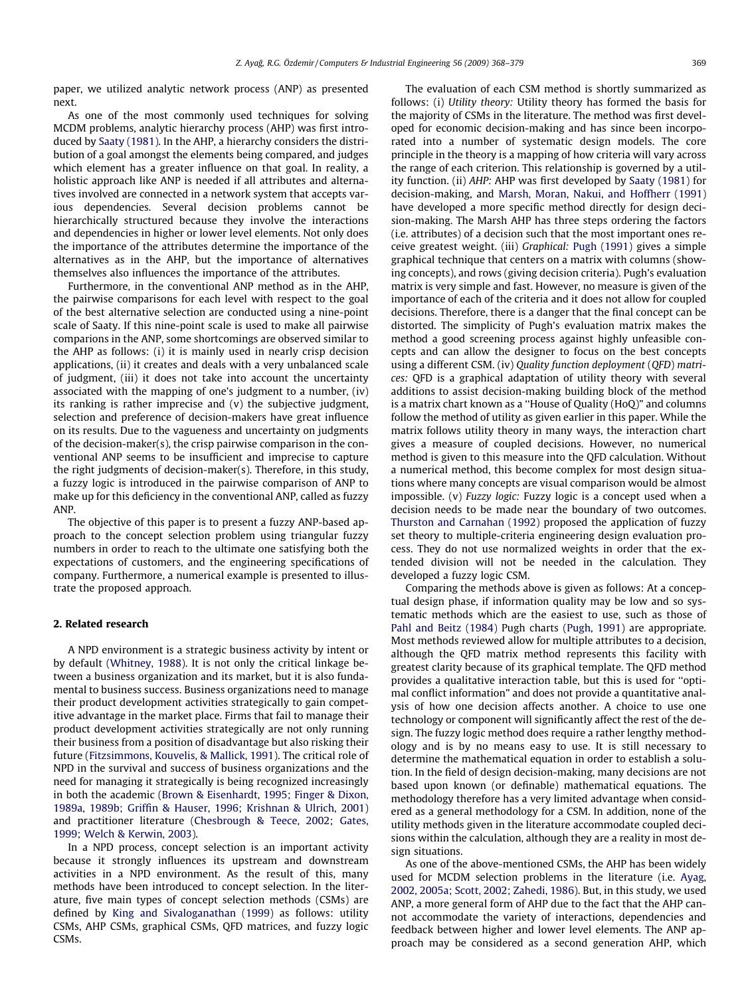paper, we utilized analytic network process (ANP) as presented next.

As one of the most commonly used techniques for solving MCDM problems, analytic hierarchy process (AHP) was first introduced by [Saaty \(1981\)](#page--1-0). In the AHP, a hierarchy considers the distribution of a goal amongst the elements being compared, and judges which element has a greater influence on that goal. In reality, a holistic approach like ANP is needed if all attributes and alternatives involved are connected in a network system that accepts various dependencies. Several decision problems cannot be hierarchically structured because they involve the interactions and dependencies in higher or lower level elements. Not only does the importance of the attributes determine the importance of the alternatives as in the AHP, but the importance of alternatives themselves also influences the importance of the attributes.

Furthermore, in the conventional ANP method as in the AHP, the pairwise comparisons for each level with respect to the goal of the best alternative selection are conducted using a nine-point scale of Saaty. If this nine-point scale is used to make all pairwise comparions in the ANP, some shortcomings are observed similar to the AHP as follows: (i) it is mainly used in nearly crisp decision applications, (ii) it creates and deals with a very unbalanced scale of judgment, (iii) it does not take into account the uncertainty associated with the mapping of one's judgment to a number, (iv) its ranking is rather imprecise and (v) the subjective judgment, selection and preference of decision-makers have great influence on its results. Due to the vagueness and uncertainty on judgments of the decision-maker(s), the crisp pairwise comparison in the conventional ANP seems to be insufficient and imprecise to capture the right judgments of decision-maker(s). Therefore, in this study, a fuzzy logic is introduced in the pairwise comparison of ANP to make up for this deficiency in the conventional ANP, called as fuzzy ANP.

The objective of this paper is to present a fuzzy ANP-based approach to the concept selection problem using triangular fuzzy numbers in order to reach to the ultimate one satisfying both the expectations of customers, and the engineering specifications of company. Furthermore, a numerical example is presented to illustrate the proposed approach.

#### 2. Related research

A NPD environment is a strategic business activity by intent or by default ([Whitney, 1988\)](#page--1-0). It is not only the critical linkage between a business organization and its market, but it is also fundamental to business success. Business organizations need to manage their product development activities strategically to gain competitive advantage in the market place. Firms that fail to manage their product development activities strategically are not only running their business from a position of disadvantage but also risking their future [\(Fitzsimmons, Kouvelis, & Mallick, 1991](#page--1-0)). The critical role of NPD in the survival and success of business organizations and the need for managing it strategically is being recognized increasingly in both the academic [\(Brown & Eisenhardt, 1995; Finger & Dixon,](#page--1-0) [1989a, 1989b; Griffin & Hauser, 1996; Krishnan & Ulrich, 2001\)](#page--1-0) and practitioner literature ([Chesbrough & Teece, 2002; Gates,](#page--1-0) [1999; Welch & Kerwin, 2003\)](#page--1-0).

In a NPD process, concept selection is an important activity because it strongly influences its upstream and downstream activities in a NPD environment. As the result of this, many methods have been introduced to concept selection. In the literature, five main types of concept selection methods (CSMs) are defined by [King and Sivaloganathan \(1999\)](#page--1-0) as follows: utility CSMs, AHP CSMs, graphical CSMs, QFD matrices, and fuzzy logic CSMs.

The evaluation of each CSM method is shortly summarized as follows: (i) Utility theory: Utility theory has formed the basis for the majority of CSMs in the literature. The method was first developed for economic decision-making and has since been incorporated into a number of systematic design models. The core principle in the theory is a mapping of how criteria will vary across the range of each criterion. This relationship is governed by a utility function. (ii) AHP: AHP was first developed by [Saaty \(1981\)](#page--1-0) for decision-making, and [Marsh, Moran, Nakui, and Hoffherr \(1991\)](#page--1-0) have developed a more specific method directly for design decision-making. The Marsh AHP has three steps ordering the factors (i.e. attributes) of a decision such that the most important ones receive greatest weight. (iii) Graphical: [Pugh \(1991\)](#page--1-0) gives a simple graphical technique that centers on a matrix with columns (showing concepts), and rows (giving decision criteria). Pugh's evaluation matrix is very simple and fast. However, no measure is given of the importance of each of the criteria and it does not allow for coupled decisions. Therefore, there is a danger that the final concept can be distorted. The simplicity of Pugh's evaluation matrix makes the method a good screening process against highly unfeasible concepts and can allow the designer to focus on the best concepts using a different CSM. (iv) Quality function deployment (QFD) matrices: QFD is a graphical adaptation of utility theory with several additions to assist decision-making building block of the method is a matrix chart known as a ''House of Quality (HoQ)" and columns follow the method of utility as given earlier in this paper. While the matrix follows utility theory in many ways, the interaction chart gives a measure of coupled decisions. However, no numerical method is given to this measure into the QFD calculation. Without a numerical method, this become complex for most design situations where many concepts are visual comparison would be almost impossible. (v) Fuzzy logic: Fuzzy logic is a concept used when a decision needs to be made near the boundary of two outcomes. [Thurston and Carnahan \(1992\)](#page--1-0) proposed the application of fuzzy set theory to multiple-criteria engineering design evaluation process. They do not use normalized weights in order that the extended division will not be needed in the calculation. They developed a fuzzy logic CSM.

Comparing the methods above is given as follows: At a conceptual design phase, if information quality may be low and so systematic methods which are the easiest to use, such as those of [Pahl and Beitz \(1984\)](#page--1-0) Pugh charts ([Pugh, 1991\)](#page--1-0) are appropriate. Most methods reviewed allow for multiple attributes to a decision, although the QFD matrix method represents this facility with greatest clarity because of its graphical template. The QFD method provides a qualitative interaction table, but this is used for ''optimal conflict information" and does not provide a quantitative analysis of how one decision affects another. A choice to use one technology or component will significantly affect the rest of the design. The fuzzy logic method does require a rather lengthy methodology and is by no means easy to use. It is still necessary to determine the mathematical equation in order to establish a solution. In the field of design decision-making, many decisions are not based upon known (or definable) mathematical equations. The methodology therefore has a very limited advantage when considered as a general methodology for a CSM. In addition, none of the utility methods given in the literature accommodate coupled decisions within the calculation, although they are a reality in most design situations.

As one of the above-mentioned CSMs, the AHP has been widely used for MCDM selection problems in the literature (i.e. [Ayag,](#page--1-0) [2002, 2005a; Scott, 2002; Zahedi, 1986](#page--1-0)). But, in this study, we used ANP, a more general form of AHP due to the fact that the AHP cannot accommodate the variety of interactions, dependencies and feedback between higher and lower level elements. The ANP approach may be considered as a second generation AHP, which